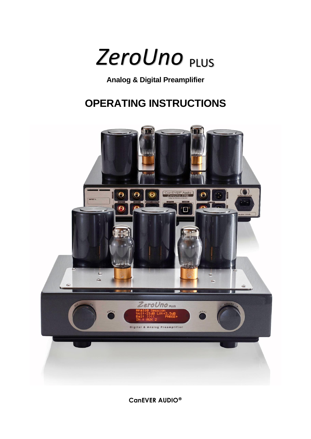

# **Analog & Digital Preamplifier**

# **OPERATING INSTRUCTIONS**



**CanEVER AUDIO®**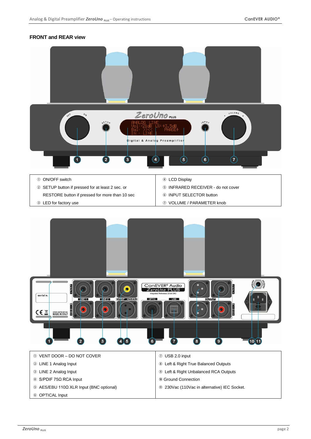# **FRONT and REAR view**

| $\circ_{\mathcal{N}}$<br>OFF                | VOLUME<br>ZeroUno rus<br>$\pmb{\times}$<br>$6E_{0}$<br>$\sqrt{NPU}$<br>$\overline{1}$ $\overline{1}$ $\overline{1}$ $\overline{1}$ $\overline{1}$ $\overline{1}$ $\overline{1}$ $\overline{1}$ $\overline{1}$ $\overline{1}$ $\overline{1}$ $\overline{1}$ $\overline{1}$ $\overline{1}$ $\overline{1}$ $\overline{1}$ $\overline{1}$ $\overline{1}$ $\overline{1}$ $\overline{1}$ $\overline{1}$ $\overline{1}$ $\overline{1}$ $\overline{1}$ $\overline{$<br>r FB<br>Digital & Analog Preamplifier |  |
|---------------------------------------------|------------------------------------------------------------------------------------------------------------------------------------------------------------------------------------------------------------------------------------------------------------------------------------------------------------------------------------------------------------------------------------------------------------------------------------------------------------------------------------------------------|--|
| $\overline{\mathbf{1}}$<br>10 ON/OFF switch | $\bigcirc$<br>$(\tau)$<br>$\left( \bullet \right)$<br>$\bullet$<br>$\left( 4\right)$<br>$\left( 2\right)$<br>4 LCD Display                                                                                                                                                                                                                                                                                                                                                                           |  |

- SETUP button if pressed for at least 2 sec. or RESTORE button if pressed for more than 10 sec
- LED for factory use
- INFRARED RECEIVER do not cover
- **6 INPUT SELECTOR button**
- VOLUME / PARAMETER knob

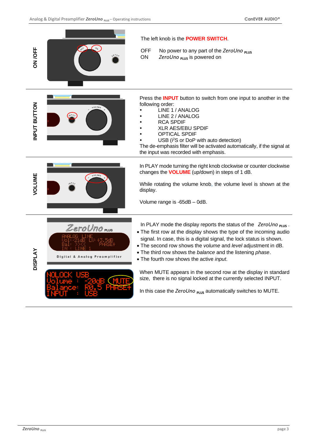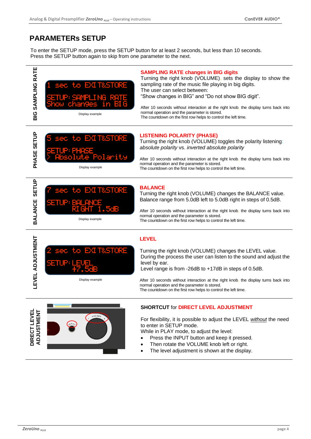# **PARAMETERs SETUP**

To enter the SETUP mode, press the SETUP button for at least 2 seconds, but less than 10 seconds. Press the SETUP button again to skip from one parameter to the next.





# **LISTENING POLARITY (PHASE)**

Turning the right knob (VOLUME) toggles the polarity listening: *absolute polarity* vs. *inverted absolute polarity*

After 10 seconds without interaction at the right knob, the display turns back into normal operation and the parameter is stored. The countdown on the first row helps to control the left time.



EXI T&STORE

# **BALANCE**

Turning the right knob (VOLUME) changes the BALANCE value. Balance range from 5.0dB left to 5.0dB right in steps of 0.5dB.

After 10 seconds without interaction at the right knob, the display turns back into normal operation and the parameter is stored. The countdown on the first row helps to control the left time.



Ξ

### **LEVEL**

Turning the right knob (VOLUME) changes the LEVEL value. During the process the user can listen to the sound and adjust the level by ear.

Level range is from -26dB to +17dB in steps of 0.5dB.

After 10 seconds without interaction at the right knob, the display turns back into normal operation and the parameter is stored. The countdown on the first row helps to control the left time.



SETUP:LEVEL  $+7.5dB$ 

Display example

#### **SHORTCUT** for **DIRECT LEVEL ADJUSTMENT**

For flexibility, it is possible to adjust the LEVEL *without* the need to enter in SETUP mode.

While in PLAY mode, to adjust the level:

- Press the INPUT button and keep it pressed.
- Then rotate the VOLUME knob left or right.
- The level adjustment is shown at the display.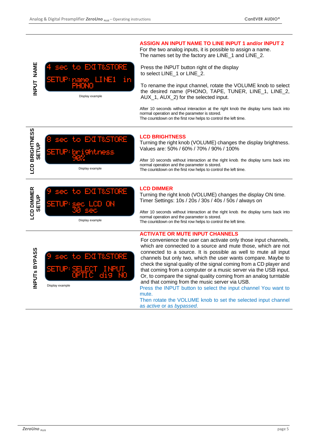

#### **ASSIGN AN INPUT NAME TO LINE INPUT 1 and/or INPUT 2**

For the two analog inputs, it is possible to assign a name. The names set by the factory are LINE 1 and LINE 2.

Press the INPUT button right of the display to select LINE\_1 or LINE\_2.

To rename the input channel, rotate the VOLUME knob to select the desired name (PHONO, TAPE, TUNER, LINE\_1, LINE\_2, AUX\_1, AUX\_2) for the selected input.

After 10 seconds without interaction at the right knob the display turns back into normal operation and the parameter is stored. The countdown on the first row helps to control the left time.



#### **LCD BRIGHTNESS**

Turning the right knob (VOLUME) changes the display brightness. Values are: 50% / 60% / 70% / 90% / 100%

After 10 seconds without interaction at the right knob, the display turns back into normal operation and the parameter is stored. The countdown on the first row helps to control the left time.



#### **LCD DIMMER**

Turning the right knob (VOLUME) changes the display ON time. Timer Settings: 10s / 20s / 30s / 40s / 50s / always on

After 10 seconds without interaction at the right knob, the display turns back into normal operation and the parameter is stored. The countdown on the first row helps to control the left time.



Display example

# **ACTIVATE OR MUTE INPUT CHANNELS**

**ZERUP:**  $\frac{1}{2}$  **P** and  $\frac{1}{2}$  **P** and  $\frac{1}{2}$  **P** and  $\frac{1}{2}$  **P** and  $\frac{1}{2}$  **PD PLUS I I**  $\frac{1}{2}$  **PD PLUS PLUS PLUS PLUS PLUS PLUS PLUS PLUS PLUS PLUS PLUS PLUS PLUS PLU** For convenience the user can activate only those input channels, which are connected to a source and mute those, which are not connected to a source. It is possible as well to mute all input channels but only two, which the user wants compare. Maybe to check the signal quality of the signal coming from a CD player and that coming from a computer or a music server via the USB input. Or, to compare the signal quality coming from an analog turntable and that coming from the music server via USB.

Press the INPUT button to select the input channel You want to mute.

Then rotate the VOLUME knob to set the selected input channel as *active* or as *bypassed*.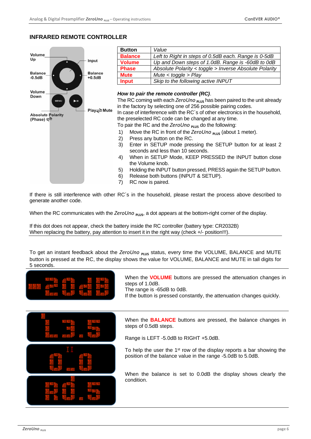# **INFRARED REMOTE CONTROLLER**



7) RC now is paired.

If there is still interference with other RC´s in the household, please restart the process above described to generate another code.

When the RC communicates with the ZeroUno **PLUS**, a dot appears at the bottom-right corner of the display.

If this dot does not appear, check the battery inside the RC controller (battery type: CR2032B) When replacing the battery, pay attention to insert it in the right way (check +/- position!!!).

To get an instant feedback about the ZeroUno <sub>PLUS</sub> status, every time the VOLUME, BALANCE and MUTE button is pressed at the RC, the display shows the value for VOLUME, BALANCE and MUTE in tall digits for 5 seconds.

| When the <b>VOLUME</b> buttons are pressed the attenuation changes in<br>steps of 1.0dB.<br>The range is -65dB to 0dB.<br>If the button is pressed constantly, the attenuation changes quickly.          |
|----------------------------------------------------------------------------------------------------------------------------------------------------------------------------------------------------------|
| When the <b>BALANCE</b> buttons are pressed, the balance changes in<br>steps of 0.5dB steps.<br>Range is LEFT -5.0dB to RIGHT +5.0dB.                                                                    |
| To help the user the $1st$ row of the display reports a bar showing the<br>position of the balance value in the range -5.0dB to 5.0dB.<br>When the balance is set to 0.0dB the display shows clearly the |
| condition.                                                                                                                                                                                               |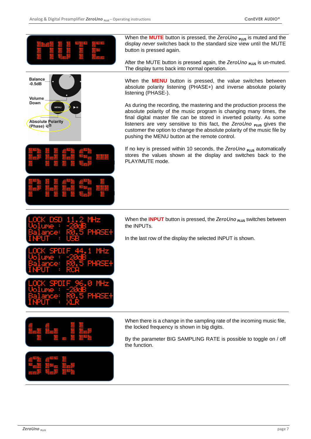